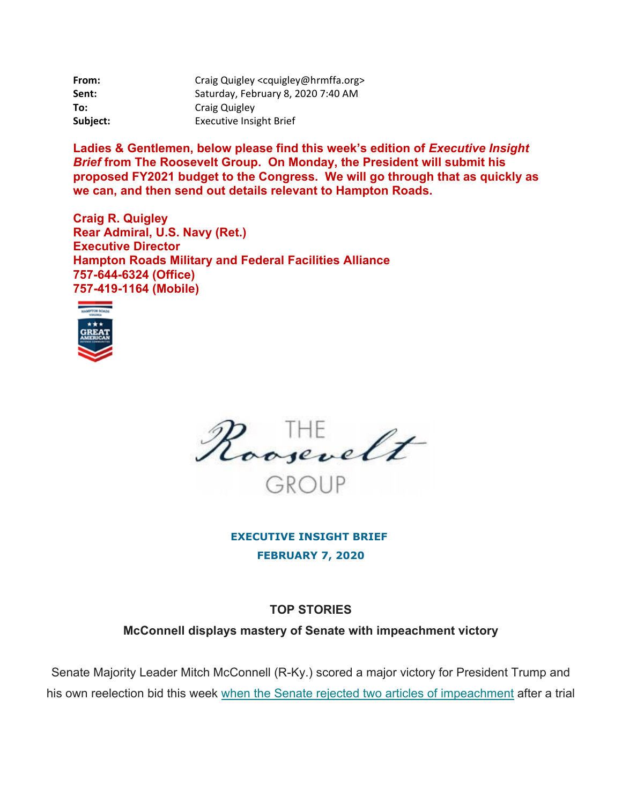| From:    | Craig Quigley <cquigley@hrmffa.org></cquigley@hrmffa.org> |
|----------|-----------------------------------------------------------|
| Sent:    | Saturday, February 8, 2020 7:40 AM                        |
| To:      | Craig Quigley                                             |
| Subject: | <b>Executive Insight Brief</b>                            |

Ladies & Gentlemen, below please find this week's edition of *Executive Insight Brief* **from The Roosevelt Group. On Monday, the President will submit his proposed FY2021 budget to the Congress. We will go through that as quickly as we can, and then send out details relevant to Hampton Roads.** 

**Craig R. Quigley Rear Admiral, U.S. Navy (Ret.) Executive Director Hampton Roads Military and Federal Facilities Alliance 757-644-6324 (Office) 757-419-1164 (Mobile)** 





**EXECUTIVE INSIGHT BRIEF FEBRUARY 7, 2020** 

## **TOP STORIES**

**McConnell displays mastery of Senate with impeachment victory** 

Senate Majority Leader Mitch McConnell (R-Ky.) scored a major victory for President Trump and his own reelection bid this week when the Senate rejected two articles of impeachment after a trial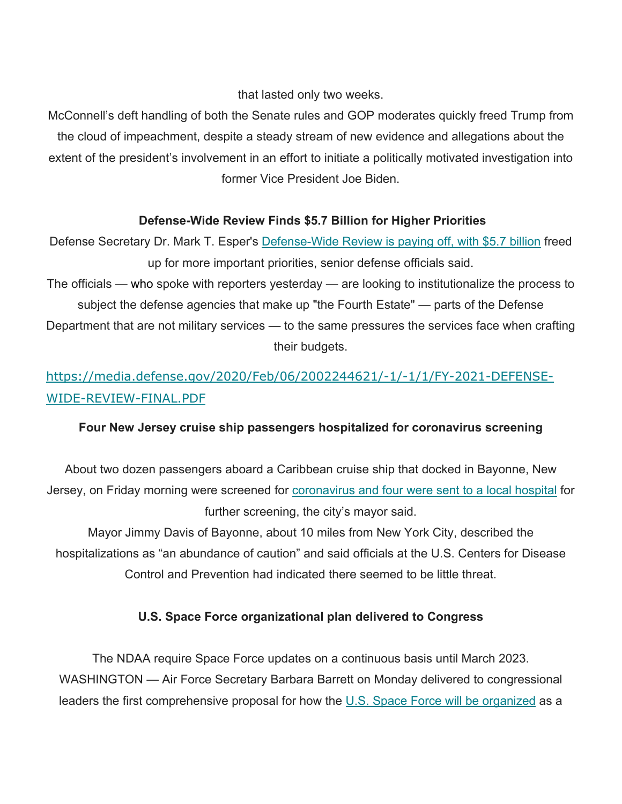that lasted only two weeks.

McConnell's deft handling of both the Senate rules and GOP moderates quickly freed Trump from the cloud of impeachment, despite a steady stream of new evidence and allegations about the extent of the president's involvement in an effort to initiate a politically motivated investigation into former Vice President Joe Biden.

## **Defense-Wide Review Finds \$5.7 Billion for Higher Priorities**

Defense Secretary Dr. Mark T. Esper's Defense-Wide Review is paying off, with \$5.7 billion freed up for more important priorities, senior defense officials said. The officials — who spoke with reporters yesterday — are looking to institutionalize the process to subject the defense agencies that make up "the Fourth Estate" — parts of the Defense Department that are not military services — to the same pressures the services face when crafting their budgets.

# [https://media.defense.gov/2020/Feb/06/2002244621/-1/-1/1/FY-2021-DEFENSE-](https://media.defense.gov/2020/Feb/06/2002244621/-1/-1/1/FY-2021-DEFENSE)WIDE-REVIEW-FINAL.PDF

## **Four New Jersey cruise ship passengers hospitalized for coronavirus screening**

About two dozen passengers aboard a Caribbean cruise ship that docked in Bayonne, New Jersey, on Friday morning were screened for coronavirus and four were sent to a local hospital for further screening, the city's mayor said.

Mayor Jimmy Davis of Bayonne, about 10 miles from New York City, described the hospitalizations as "an abundance of caution" and said officials at the U.S. Centers for Disease Control and Prevention had indicated there seemed to be little threat.

## **U.S. Space Force organizational plan delivered to Congress**

The NDAA require Space Force updates on a continuous basis until March 2023. WASHINGTON — Air Force Secretary Barbara Barrett on Monday delivered to congressional leaders the first comprehensive proposal for how the U.S. Space Force will be organized as a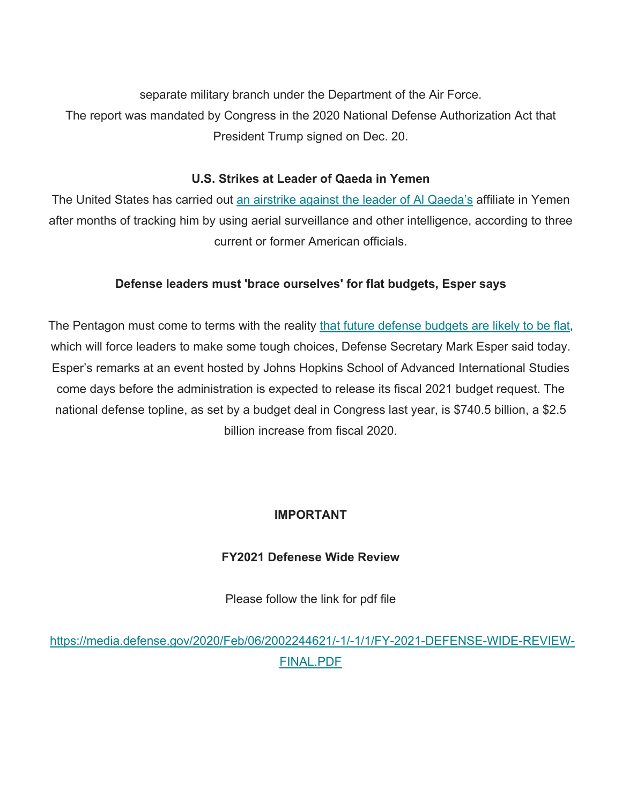separate military branch under the Department of the Air Force. The report was mandated by Congress in the 2020 National Defense Authorization Act that President Trump signed on Dec. 20.

## **U.S. Strikes at Leader of Qaeda in Yemen**

The United States has carried out an airstrike against the leader of AI Qaeda's affiliate in Yemen after months of tracking him by using aerial surveillance and other intelligence, according to three current or former American officials.

## **Defense leaders must 'brace ourselves' for flat budgets, Esper says**

The Pentagon must come to terms with the reality that future defense budgets are likely to be flat, which will force leaders to make some tough choices, Defense Secretary Mark Esper said today. Esper's remarks at an event hosted by Johns Hopkins School of Advanced International Studies come days before the administration is expected to release its fiscal 2021 budget request. The national defense topline, as set by a budget deal in Congress last year, is \$740.5 billion, a \$2.5 billion increase from fiscal 2020.

## **IMPORTANT**

## **FY2021 Defenese Wide Review**

Please follow the link for pdf file

<https://media.defense.gov/2020/Feb/06/2002244621/-1/-1/1/FY-2021-DEFENSE-WIDE-REVIEW>-FINAL.PDF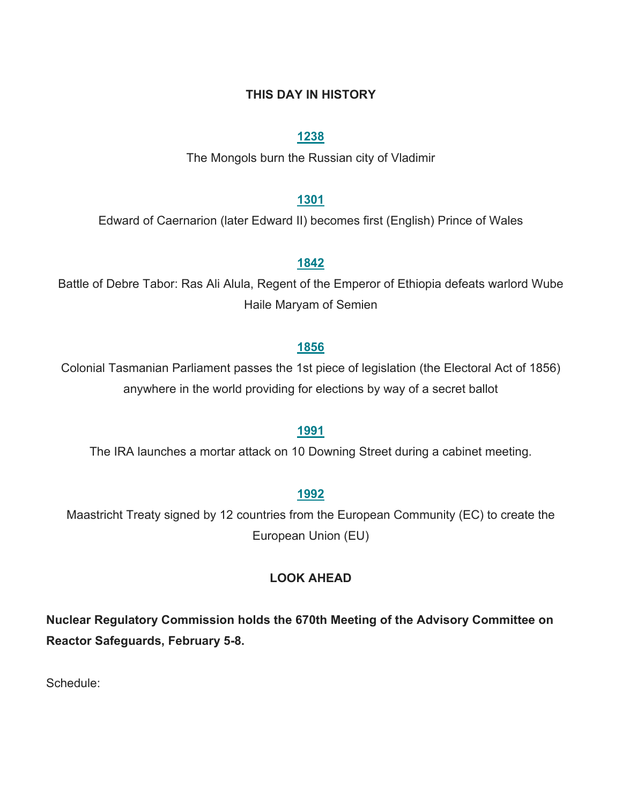### **THIS DAY IN HISTORY**

### **1238**

The Mongols burn the Russian city of Vladimir

### **1301**

Edward of Caernarion (later Edward II) becomes first (English) Prince of Wales

#### **1842**

Battle of Debre Tabor: Ras Ali Alula, Regent of the Emperor of Ethiopia defeats warlord Wube Haile Maryam of Semien

### **1856**

Colonial Tasmanian Parliament passes the 1st piece of legislation (the Electoral Act of 1856) anywhere in the world providing for elections by way of a secret ballot

### **1991**

The IRA launches a mortar attack on 10 Downing Street during a cabinet meeting.

#### **1992**

Maastricht Treaty signed by 12 countries from the European Community (EC) to create the European Union (EU)

#### **LOOK AHEAD**

**Nuclear Regulatory Commission holds the 670th Meeting of the Advisory Committee on Reactor Safeguards, February 5-8.** 

Schedule: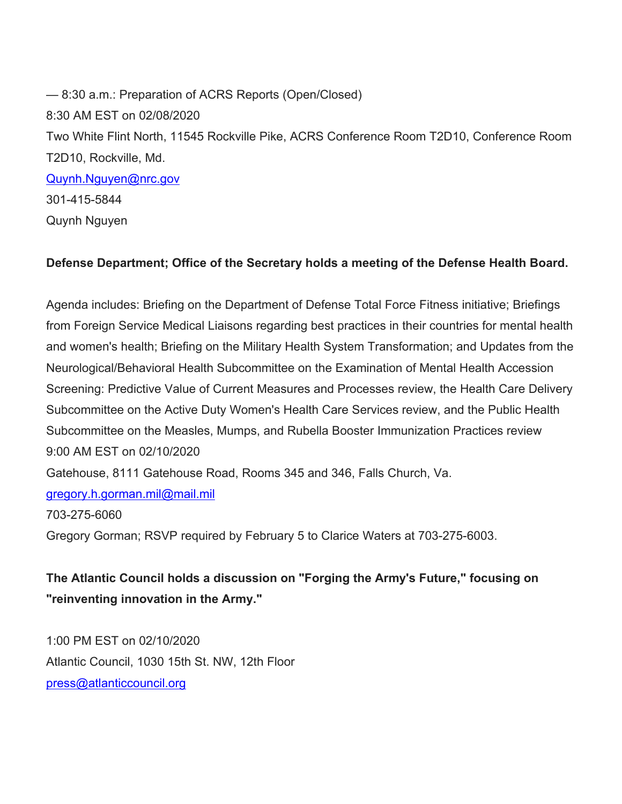<mark>[Quynh.Nguyen@nrc.gov](mailto:Quynh.Nguyen@nrc.gov)</mark><br>301-415-5844 — 8:30 a.m.: Preparation of ACRS Reports (Open/Closed) 8:30 AM EST on 02/08/2020 Two White Flint North, 11545 Rockville Pike, ACRS Conference Room T2D10, Conference Room T2D10, Rockville, Md. Quynh Nguyen

## **Defense Department; Office of the Secretary holds a meeting of the Defense Health Board.**

Agenda includes: Briefing on the Department of Defense Total Force Fitness initiative; Briefings from Foreign Service Medical Liaisons regarding best practices in their countries for mental health and women's health; Briefing on the Military Health System Transformation; and Updates from the Neurological/Behavioral Health Subcommittee on the Examination of Mental Health Accession Screening: Predictive Value of Current Measures and Processes review, the Health Care Delivery Subcommittee on the Active Duty Women's Health Care Services review, and the Public Health Subcommittee on the Measles, Mumps, and Rubella Booster Immunization Practices review 9:00 AM EST on 02/10/2020 Gatehouse, 8111 Gatehouse Road, Rooms 345 and 346, Falls Church, Va.

gregory.h.gorman.mil@mail.m<u>il</u><br>703-275-6060

Gregory Gorman; RSVP required by February 5 to Clarice Waters at 703-275-6003.

**The Atlantic Council holds a discussion on "Forging the Army's Future," focusing on "reinventing innovation in the Army."** 

 [press@atlanticcouncil.org](mailto:press@atlanticcouncil.org) 1:00 PM EST on 02/10/2020 Atlantic Council, 1030 15th St. NW, 12th Floor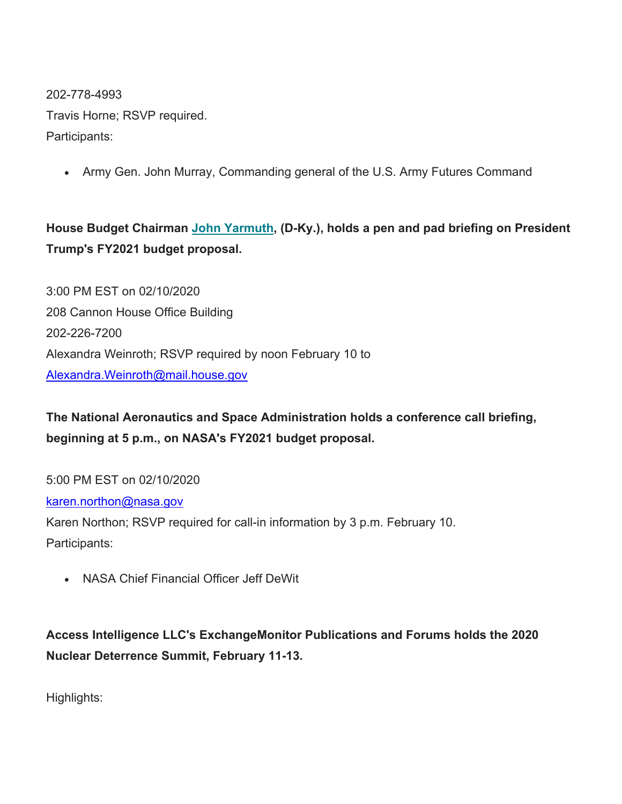202-778-4993

Travis Horne; RSVP required. Participants:

• Army Gen. John Murray, Commanding general of the U.S. Army Futures Command

## **House Budget Chairman John Yarmuth, (D-Ky.), holds a pen and pad briefing on President Trump's FY2021 budget proposal.**

3:00 PM EST on 02/10/2020 208 Cannon House Office Building 202-226-7200 Alexandra Weinroth; RSVP required by noon February 10 to [Alexandra.Weinroth@mail.house.gov](mailto:Alexandra.Weinroth@mail.house.gov) 

**The National Aeronautics and Space Administration holds a conference call briefing, beginning at 5 p.m., on NASA's FY2021 budget proposal.** 

5:00 PM EST on 02/10/2020

karen.northon@nasa.gov

Karen Northon; RSVP required for call-in information by 3 p.m. February 10. Participants:

NASA Chief Financial Officer Jeff DeWit

**Access Intelligence LLC's ExchangeMonitor Publications and Forums holds the 2020 Nuclear Deterrence Summit, February 11-13.** 

Highlights: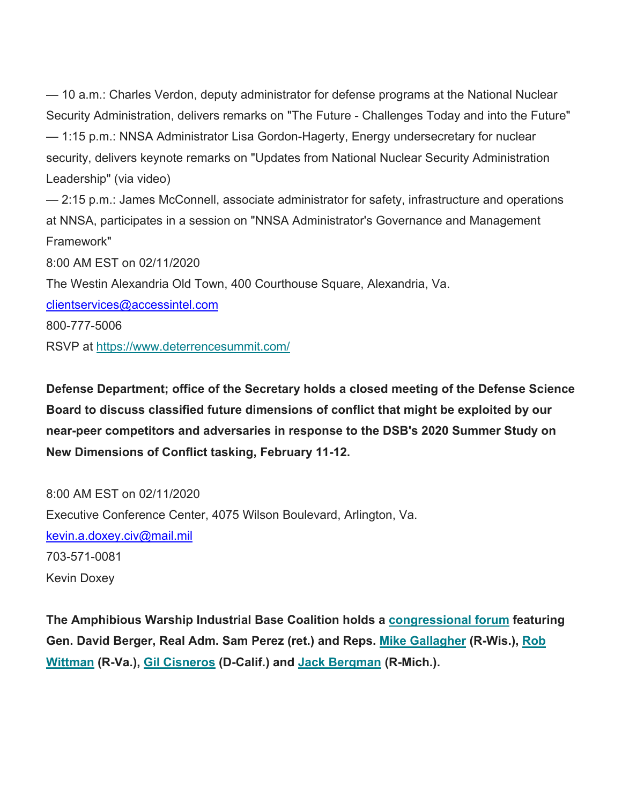— 10 a.m.: Charles Verdon, deputy administrator for defense programs at the National Nuclear Security Administration, delivers remarks on "The Future - Challenges Today and into the Future" — 1:15 p.m.: NNSA Administrator Lisa Gordon-Hagerty, Energy undersecretary for nuclear security, delivers keynote remarks on "Updates from National Nuclear Security Administration Leadership" (via video)

— 2:15 p.m.: James McConnell, associate administrator for safety, infrastructure and operations at NNSA, participates in a session on "NNSA Administrator's Governance and Management Framework"

8:00 AM EST on 02/11/2020

The Westin Alexandria Old Town, 400 Courthouse Square, Alexandria, Va.

<u>clientservices@accessintel.com</u><br>800-777-5006

RSVP at <https://www.deterrencesummit.com>/

**Defense Department; office of the Secretary holds a closed meeting of the Defense Science Board to discuss classified future dimensions of conflict that might be exploited by our near-peer competitors and adversaries in response to the DSB's 2020 Summer Study on New Dimensions of Conflict tasking, February 11-12.** 

<u>kevin.a.doxey.civ@mail.mil</u><br>703-571-0081 8:00 AM EST on 02/11/2020 Executive Conference Center, 4075 Wilson Boulevard, Arlington, Va. Kevin Doxey

**The Amphibious Warship Industrial Base Coalition holds a congressional forum featuring Gen. David Berger, Real Adm. Sam Perez (ret.) and Reps. Mike Gallagher (R-Wis.), Rob Wittman (R-Va.), Gil Cisneros (D-Calif.) and Jack Bergman (R-Mich.).**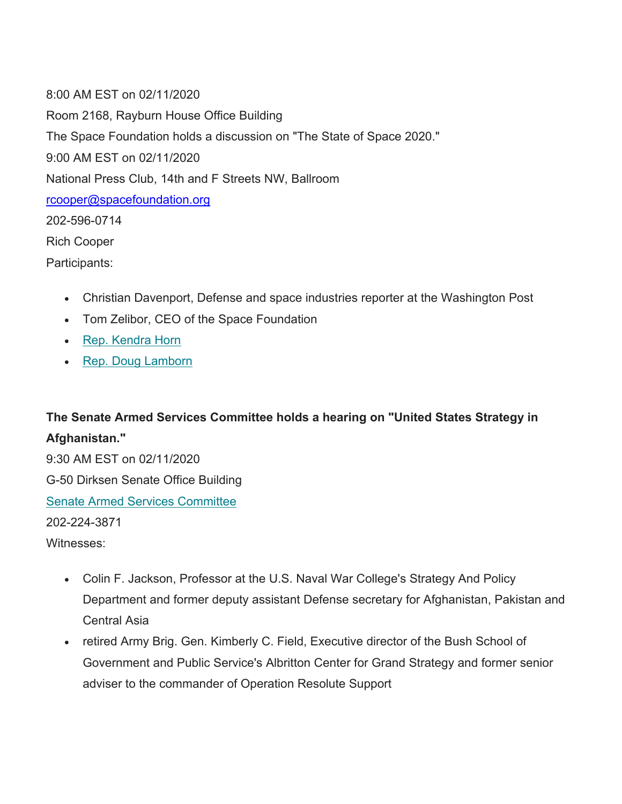<u>[rcooper@spacefoundation.org](mailto:rcooper@spacefoundation.org)</u><br>202-596-0714 8:00 AM EST on 02/11/2020 Room 2168, Rayburn House Office Building The Space Foundation holds a discussion on "The State of Space 2020." 9:00 AM EST on 02/11/2020 National Press Club, 14th and F Streets NW, Ballroom Rich Cooper Participants:

- Christian Davenport, Defense and space industries reporter at the Washington Post
- Tom Zelibor, CEO of the Space Foundation
- Rep. Kendra Horn
- Rep. Doug Lamborn

## **The Senate Armed Services Committee holds a hearing on "United States Strategy in Afghanistan."**

9:30 AM EST on 02/11/2020 G-50 Dirksen Senate Office Building Senate Armed Services Committee 202-224-3871 Witnesses:

- Colin F. Jackson, Professor at the U.S. Naval War College's Strategy And Policy Department and former deputy assistant Defense secretary for Afghanistan, Pakistan and Central Asia
- retired Army Brig. Gen. Kimberly C. Field, Executive director of the Bush School of Government and Public Service's Albritton Center for Grand Strategy and former senior adviser to the commander of Operation Resolute Support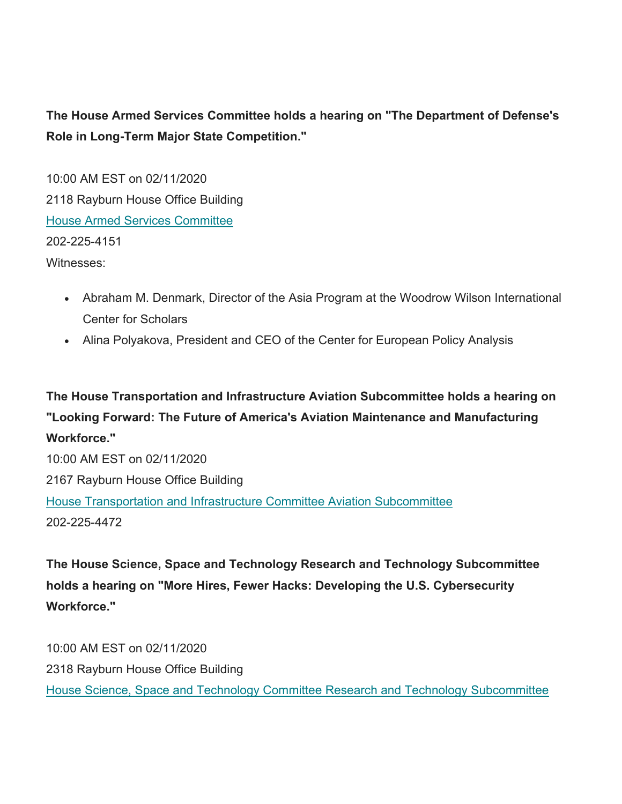**The House Armed Services Committee holds a hearing on "The Department of Defense's Role in Long-Term Major State Competition."** 

10:00 AM EST on 02/11/2020 2118 Rayburn House Office Building House Armed Services Committee 202-225-4151 Witnesses:

- Abraham M. Denmark, Director of the Asia Program at the Woodrow Wilson International Center for Scholars
- Alina Polyakova, President and CEO of the Center for European Policy Analysis

**The House Transportation and Infrastructure Aviation Subcommittee holds a hearing on "Looking Forward: The Future of America's Aviation Maintenance and Manufacturing Workforce."** 

10:00 AM EST on 02/11/2020 2167 Rayburn House Office Building House Transportation and Infrastructure Committee Aviation Subcommittee 202-225-4472

**The House Science, Space and Technology Research and Technology Subcommittee holds a hearing on "More Hires, Fewer Hacks: Developing the U.S. Cybersecurity Workforce."** 

10:00 AM EST on 02/11/2020 2318 Rayburn House Office Building House Science, Space and Technology Committee Research and Technology Subcommittee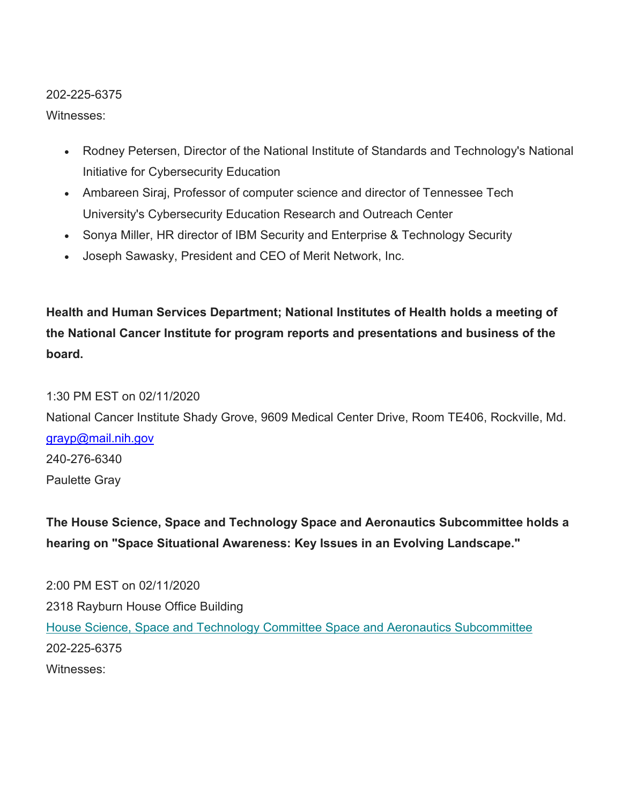### 202-225-6375

### Witnesses:

- Rodney Petersen, Director of the National Institute of Standards and Technology's National Initiative for Cybersecurity Education
- Ambareen Siraj, Professor of computer science and director of Tennessee Tech University's Cybersecurity Education Research and Outreach Center
- Sonya Miller, HR director of IBM Security and Enterprise & Technology Security
- Joseph Sawasky, President and CEO of Merit Network, Inc.

**Health and Human Services Department; National Institutes of Health holds a meeting of the National Cancer Institute for program reports and presentations and business of the board.** 

## 1:30 PM EST on 02/11/2020

<u>grayp@mail.nih.gov</u><br>240-276-6340 National Cancer Institute Shady Grove, 9609 Medical Center Drive, Room TE406, Rockville, Md. Paulette Gray

## **The House Science, Space and Technology Space and Aeronautics Subcommittee holds a hearing on "Space Situational Awareness: Key Issues in an Evolving Landscape."**

2:00 PM EST on 02/11/2020 2318 Rayburn House Office Building House Science, Space and Technology Committee Space and Aeronautics Subcommittee 202-225-6375 Witnesses: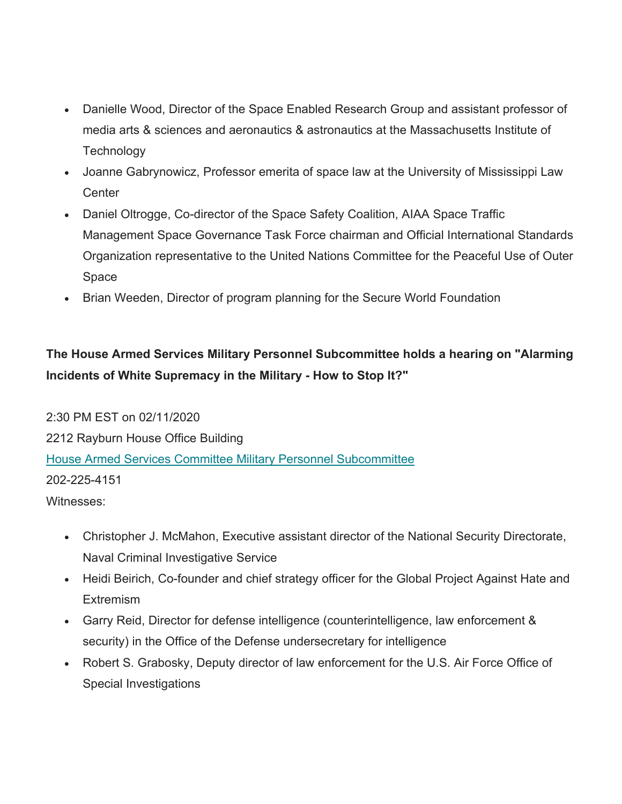- Danielle Wood, Director of the Space Enabled Research Group and assistant professor of media arts & sciences and aeronautics & astronautics at the Massachusetts Institute of **Technology**
- Joanne Gabrynowicz, Professor emerita of space law at the University of Mississippi Law **Center**
- Daniel Oltrogge, Co-director of the Space Safety Coalition, AIAA Space Traffic Management Space Governance Task Force chairman and Official International Standards Organization representative to the United Nations Committee for the Peaceful Use of Outer Space
- Brian Weeden, Director of program planning for the Secure World Foundation

# **The House Armed Services Military Personnel Subcommittee holds a hearing on "Alarming Incidents of White Supremacy in the Military - How to Stop It?"**

2:30 PM EST on 02/11/2020 2212 Rayburn House Office Building House Armed Services Committee Military Personnel Subcommittee 202-225-4151 Witnesses:

- Christopher J. McMahon, Executive assistant director of the National Security Directorate, Naval Criminal Investigative Service
- Heidi Beirich, Co-founder and chief strategy officer for the Global Project Against Hate and **Extremism**
- Garry Reid, Director for defense intelligence (counterintelligence, law enforcement & security) in the Office of the Defense undersecretary for intelligence
- Robert S. Grabosky, Deputy director of law enforcement for the U.S. Air Force Office of Special Investigations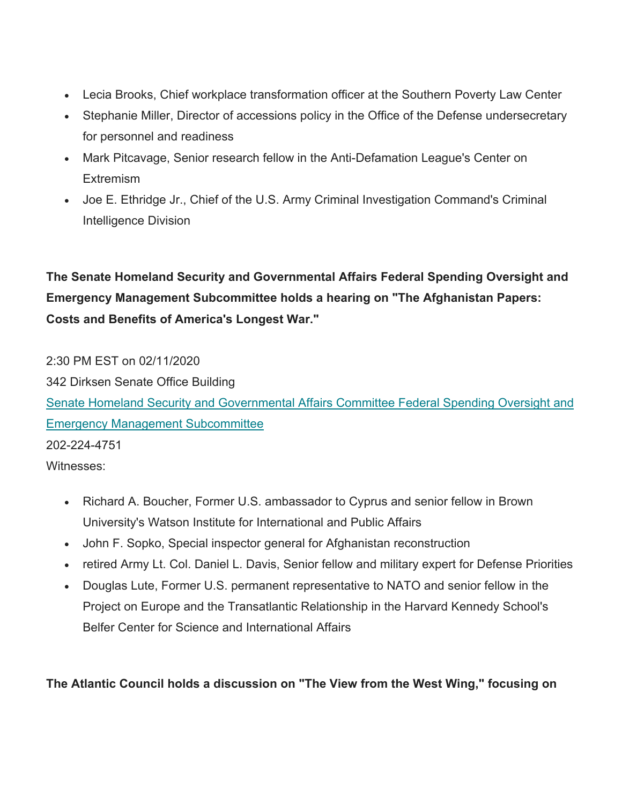- Lecia Brooks, Chief workplace transformation officer at the Southern Poverty Law Center
- Stephanie Miller, Director of accessions policy in the Office of the Defense undersecretary for personnel and readiness
- Mark Pitcavage, Senior research fellow in the Anti-Defamation League's Center on **Extremism**
- Joe E. Ethridge Jr., Chief of the U.S. Army Criminal Investigation Command's Criminal Intelligence Division

**The Senate Homeland Security and Governmental Affairs Federal Spending Oversight and Emergency Management Subcommittee holds a hearing on "The Afghanistan Papers: Costs and Benefits of America's Longest War."** 

2:30 PM EST on 02/11/2020 342 Dirksen Senate Office Building Senate Homeland Security and Governmental Affairs Committee Federal Spending Oversight and Emergency Management Subcommittee 202-224-4751 Witnesses:

- Richard A. Boucher, Former U.S. ambassador to Cyprus and senior fellow in Brown University's Watson Institute for International and Public Affairs
- John F. Sopko, Special inspector general for Afghanistan reconstruction
- retired Army Lt. Col. Daniel L. Davis, Senior fellow and military expert for Defense Priorities
- Douglas Lute, Former U.S. permanent representative to NATO and senior fellow in the Project on Europe and the Transatlantic Relationship in the Harvard Kennedy School's Belfer Center for Science and International Affairs

**The Atlantic Council holds a discussion on "The View from the West Wing," focusing on**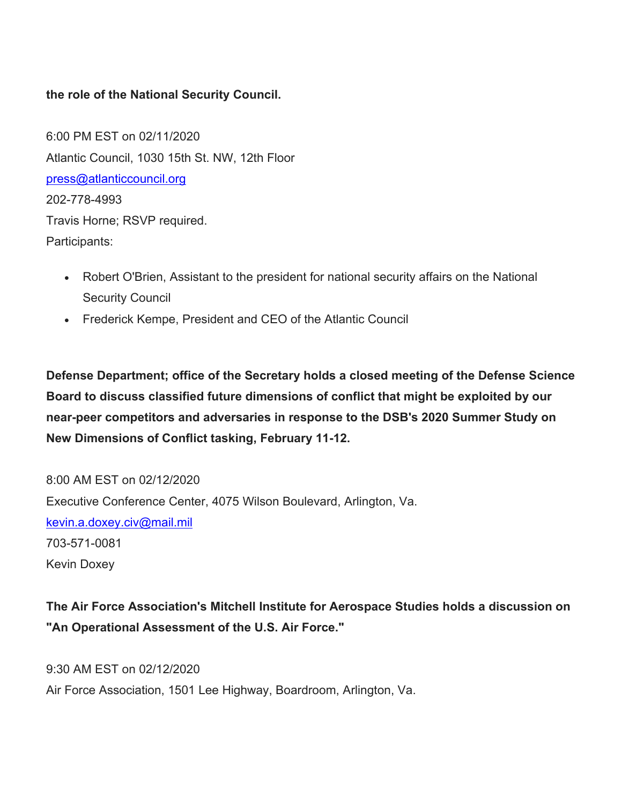## **the role of the National Security Council.**

<u>[press@atlanticcouncil.org](mailto:press@atlanticcouncil.org)</u><br>202-778-4993 6:00 PM EST on 02/11/2020 Atlantic Council, 1030 15th St. NW, 12th Floor Travis Horne; RSVP required. Participants:

- Robert O'Brien, Assistant to the president for national security affairs on the National Security Council
- Frederick Kempe, President and CEO of the Atlantic Council

**Defense Department; office of the Secretary holds a closed meeting of the Defense Science Board to discuss classified future dimensions of conflict that might be exploited by our near-peer competitors and adversaries in response to the DSB's 2020 Summer Study on New Dimensions of Conflict tasking, February 11-12.** 

<u>kevin.a.doxey.civ@mail.mil</u><br>703-571-0081 8:00 AM EST on 02/12/2020 Executive Conference Center, 4075 Wilson Boulevard, Arlington, Va. Kevin Doxey

## **The Air Force Association's Mitchell Institute for Aerospace Studies holds a discussion on "An Operational Assessment of the U.S. Air Force."**

9:30 AM EST on 02/12/2020 Air Force Association, 1501 Lee Highway, Boardroom, Arlington, Va.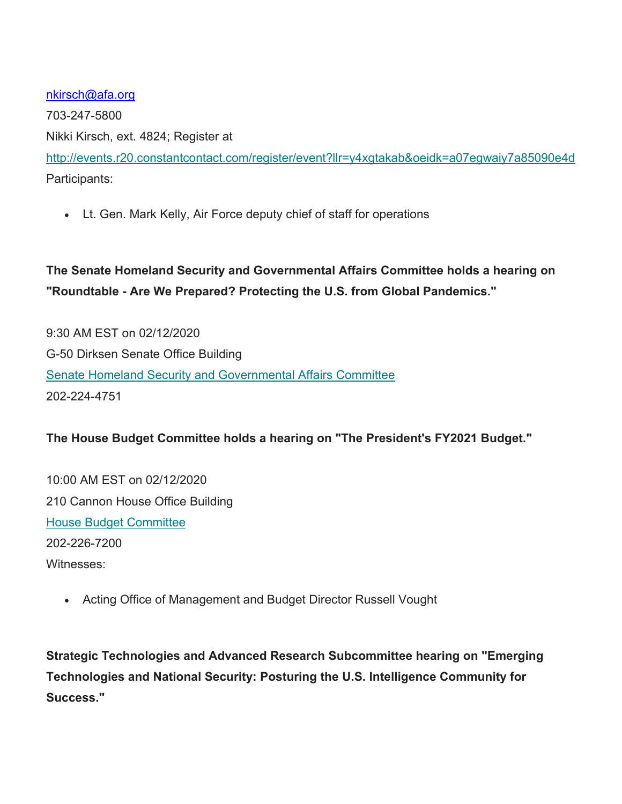<u>[nkirsch@afa.org](mailto:nkirsch@afa.org)</u><br>703-247-5800

Nikki Kirsch, ext. 4824; Register at

<http://events.r20.constantcontact.com/register/event?llr=y4xgtakab&oeidk=a07egwaiy7a85090e4d> Participants:

Lt. Gen. Mark Kelly, Air Force deputy chief of staff for operations

**The Senate Homeland Security and Governmental Affairs Committee holds a hearing on "Roundtable - Are We Prepared? Protecting the U.S. from Global Pandemics."** 

9:30 AM EST on 02/12/2020 G-50 Dirksen Senate Office Building Senate Homeland Security and Governmental Affairs Committee 202-224-4751

## **The House Budget Committee holds a hearing on "The President's FY2021 Budget."**

10:00 AM EST on 02/12/2020 210 Cannon House Office Building House Budget Committee 202-226-7200 Witnesses:

Acting Office of Management and Budget Director Russell Vought

**Strategic Technologies and Advanced Research Subcommittee hearing on "Emerging Technologies and National Security: Posturing the U.S. Intelligence Community for Success."**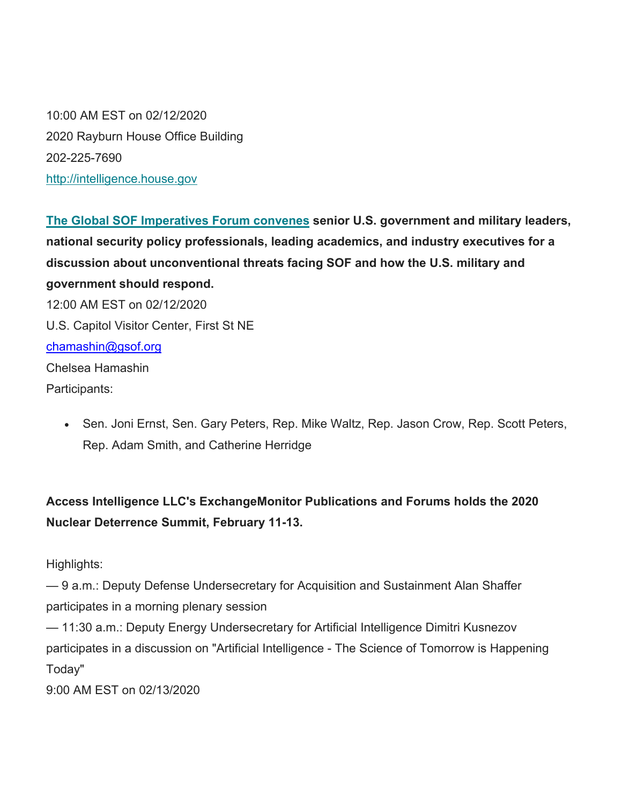10:00 AM EST on 02/12/2020 2020 Rayburn House Office Building 202-225-7690 <http://intelligence.house.gov>

<u>[chamashin@gsof.org](mailto:chamashin@gsof.org)</u><br>Chelsea Hamashin **The Global SOF Imperatives Forum convenes senior U.S. government and military leaders, national security policy professionals, leading academics, and industry executives for a discussion about unconventional threats facing SOF and how the U.S. military and government should respond.**  12:00 AM EST on 02/12/2020 U.S. Capitol Visitor Center, First St NE Participants:

• Sen. Joni Ernst, Sen. Gary Peters, Rep. Mike Waltz, Rep. Jason Crow, Rep. Scott Peters, Rep. Adam Smith, and Catherine Herridge

**Access Intelligence LLC's ExchangeMonitor Publications and Forums holds the 2020 Nuclear Deterrence Summit, February 11-13.** 

Highlights:

— 9 a.m.: Deputy Defense Undersecretary for Acquisition and Sustainment Alan Shaffer participates in a morning plenary session

— 11:30 a.m.: Deputy Energy Undersecretary for Artificial Intelligence Dimitri Kusnezov participates in a discussion on "Artificial Intelligence - The Science of Tomorrow is Happening Today"

9:00 AM EST on 02/13/2020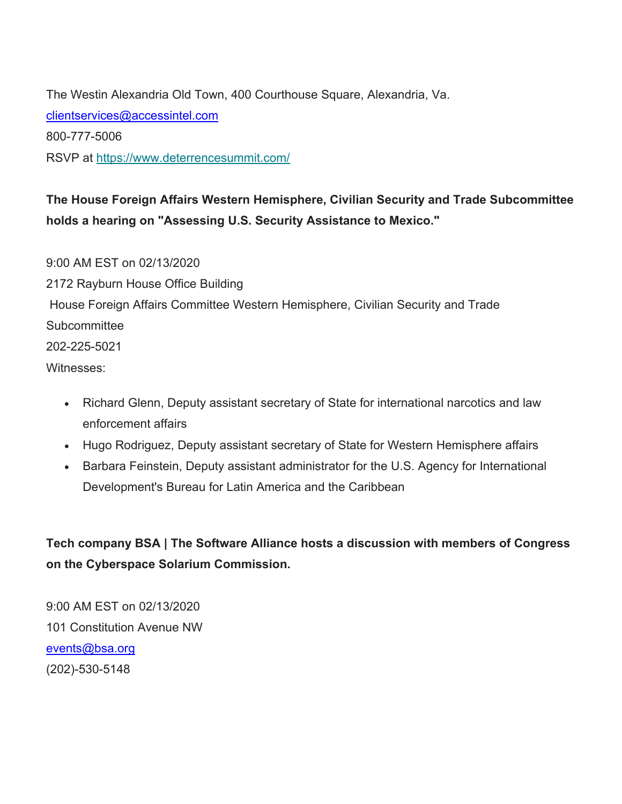<u>clientservices@accessintel.com</u><br>800-777-5006 The Westin Alexandria Old Town, 400 Courthouse Square, Alexandria, Va. RSVP at <https://www.deterrencesummit.com>/

**The House Foreign Affairs Western Hemisphere, Civilian Security and Trade Subcommittee holds a hearing on "Assessing U.S. Security Assistance to Mexico."** 

9:00 AM EST on 02/13/2020 2172 Rayburn House Office Building House Foreign Affairs Committee Western Hemisphere, Civilian Security and Trade **Subcommittee** 202-225-5021 Witnesses:

- Richard Glenn, Deputy assistant secretary of State for international narcotics and law enforcement affairs
- Hugo Rodriguez, Deputy assistant secretary of State for Western Hemisphere affairs
- Barbara Feinstein, Deputy assistant administrator for the U.S. Agency for International Development's Bureau for Latin America and the Caribbean

**Tech company BSA | The Software Alliance hosts a discussion with members of Congress on the Cyberspace Solarium Commission.** 

events@bsa.org 9:00 AM EST on 02/13/2020 101 Constitution Avenue NW (202)-530-5148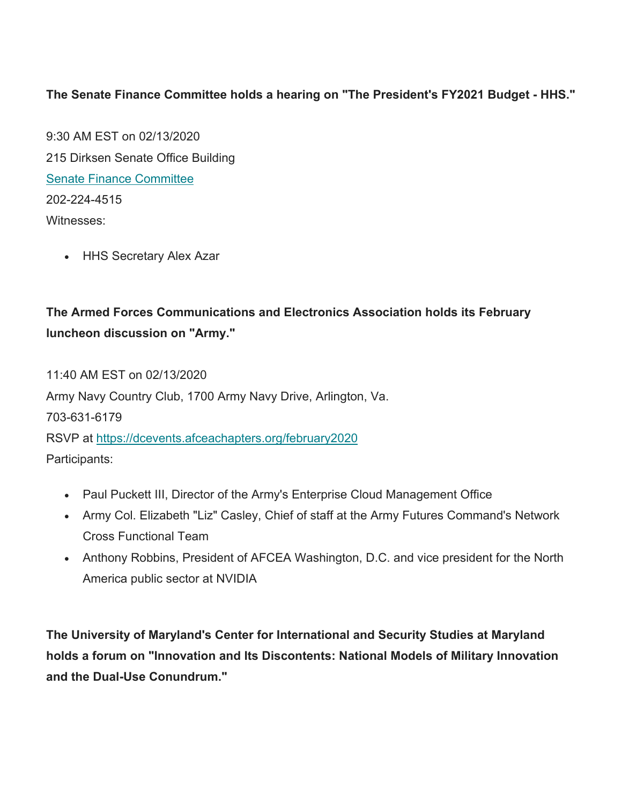## **The Senate Finance Committee holds a hearing on "The President's FY2021 Budget - HHS."**

9:30 AM EST on 02/13/2020 215 Dirksen Senate Office Building Senate Finance Committee 202-224-4515 Witnesses:

HHS Secretary Alex Azar

## **The Armed Forces Communications and Electronics Association holds its February luncheon discussion on "Army."**

11:40 AM EST on 02/13/2020 Army Navy Country Club, 1700 Army Navy Drive, Arlington, Va. 703-631-6179 RSVP at <https://dcevents.afceachapters.org/february2020> Participants:

- Paul Puckett III, Director of the Army's Enterprise Cloud Management Office
- Army Col. Elizabeth "Liz" Casley, Chief of staff at the Army Futures Command's Network Cross Functional Team
- Anthony Robbins, President of AFCEA Washington, D.C. and vice president for the North America public sector at NVIDIA

**The University of Maryland's Center for International and Security Studies at Maryland holds a forum on "Innovation and Its Discontents: National Models of Military Innovation and the Dual-Use Conundrum."**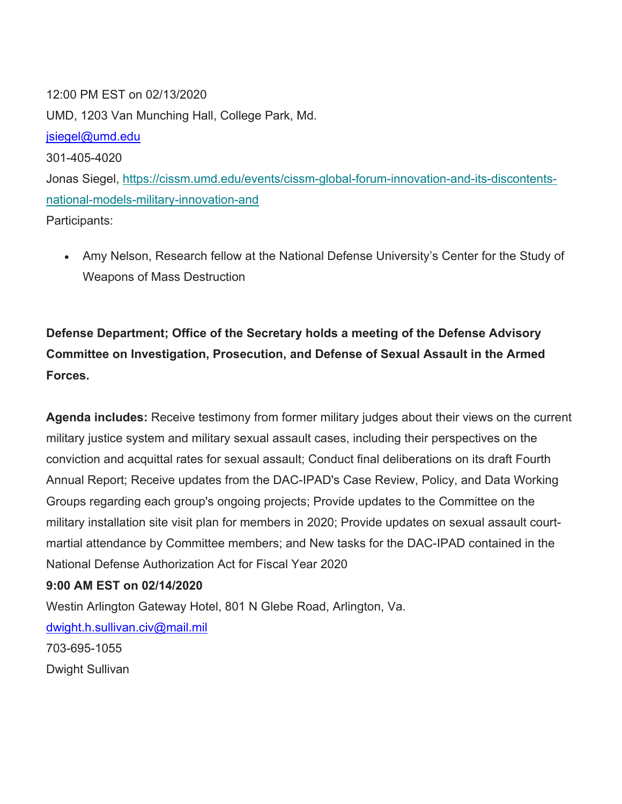<u>[jsiegel@umd.edu](mailto:jsiegel@umd.edu)</u><br>301-405-4020 12:00 PM EST on 02/13/2020 UMD, 1203 Van Munching Hall, College Park, Md. Jonas Siegel, <https://cissm.umd.edu/events/cissm-global-forum-innovation-and-its-discontents>national-models-military-innovation-and Participants:

 Amy Nelson, Research fellow at the National Defense University's Center for the Study of Weapons of Mass Destruction

# **Defense Department; Office of the Secretary holds a meeting of the Defense Advisory Committee on Investigation, Prosecution, and Defense of Sexual Assault in the Armed Forces.**

**Agenda includes:** Receive testimony from former military judges about their views on the current military justice system and military sexual assault cases, including their perspectives on the conviction and acquittal rates for sexual assault; Conduct final deliberations on its draft Fourth Annual Report; Receive updates from the DAC-IPAD's Case Review, Policy, and Data Working Groups regarding each group's ongoing projects; Provide updates to the Committee on the military installation site visit plan for members in 2020; Provide updates on sexual assault courtmartial attendance by Committee members; and New tasks for the DAC-IPAD contained in the National Defense Authorization Act for Fiscal Year 2020

## **9:00 AM EST on 02/14/2020**

<u>[dwight.h.sullivan.civ@mail.mil](mailto:dwight.h.sullivan.civ@mail.mil)</u><br>703-695-1055 Westin Arlington Gateway Hotel, 801 N Glebe Road, Arlington, Va. Dwight Sullivan